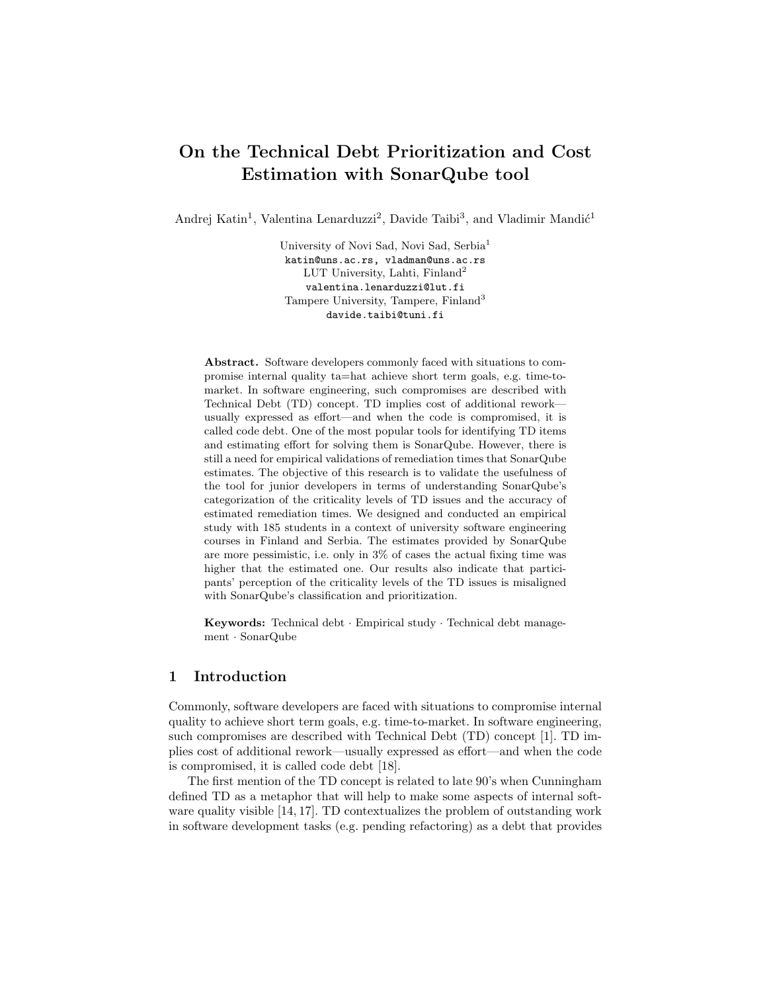# On the Technical Debt Prioritization and Cost Estimation with SonarQube tool

Andrej Katin<sup>1</sup>, Valentina Lenarduzzi<sup>2</sup>, Davide Taibi<sup>3</sup>, and Vladimir Mandić<sup>1</sup>

University of Novi Sad, Novi Sad, Serbia<sup>1</sup> katin@uns.ac.rs, vladman@uns.ac.rs LUT University, Lahti, Finland<sup>2</sup> valentina.lenarduzzi@lut.fi Tampere University, Tampere, Finland<sup>3</sup> davide.taibi@tuni.fi

Abstract. Software developers commonly faced with situations to compromise internal quality ta=hat achieve short term goals, e.g. time-tomarket. In software engineering, such compromises are described with Technical Debt (TD) concept. TD implies cost of additional rework usually expressed as effort—and when the code is compromised, it is called code debt. One of the most popular tools for identifying TD items and estimating effort for solving them is SonarQube. However, there is still a need for empirical validations of remediation times that SonarQube estimates. The objective of this research is to validate the usefulness of the tool for junior developers in terms of understanding SonarQube's categorization of the criticality levels of TD issues and the accuracy of estimated remediation times. We designed and conducted an empirical study with 185 students in a context of university software engineering courses in Finland and Serbia. The estimates provided by SonarQube are more pessimistic, i.e. only in 3% of cases the actual fixing time was higher that the estimated one. Our results also indicate that participants' perception of the criticality levels of the TD issues is misaligned with SonarQube's classification and prioritization.

Keywords: Technical debt · Empirical study · Technical debt management · SonarQube

# 1 Introduction

Commonly, software developers are faced with situations to compromise internal quality to achieve short term goals, e.g. time-to-market. In software engineering, such compromises are described with Technical Debt (TD) concept [1]. TD implies cost of additional rework—usually expressed as effort—and when the code is compromised, it is called code debt [18].

The first mention of the TD concept is related to late 90's when Cunningham defined TD as a metaphor that will help to make some aspects of internal software quality visible [14, 17]. TD contextualizes the problem of outstanding work in software development tasks (e.g. pending refactoring) as a debt that provides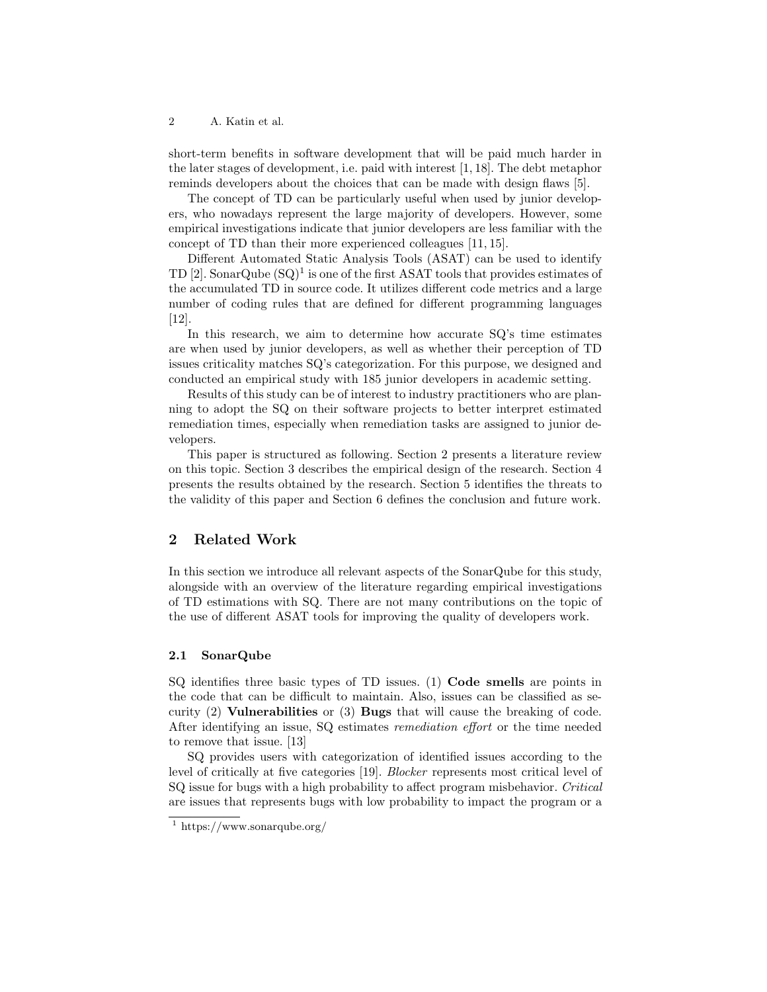2 A. Katin et al.

short-term benefits in software development that will be paid much harder in the later stages of development, i.e. paid with interest [1, 18]. The debt metaphor reminds developers about the choices that can be made with design flaws [5].

The concept of TD can be particularly useful when used by junior developers, who nowadays represent the large majority of developers. However, some empirical investigations indicate that junior developers are less familiar with the concept of TD than their more experienced colleagues [11, 15].

Different Automated Static Analysis Tools (ASAT) can be used to identify TD [2]. SonarQube  $(SQ)^1$  is one of the first ASAT tools that provides estimates of the accumulated TD in source code. It utilizes different code metrics and a large number of coding rules that are defined for different programming languages [12].

In this research, we aim to determine how accurate SQ's time estimates are when used by junior developers, as well as whether their perception of TD issues criticality matches SQ's categorization. For this purpose, we designed and conducted an empirical study with 185 junior developers in academic setting.

Results of this study can be of interest to industry practitioners who are planning to adopt the SQ on their software projects to better interpret estimated remediation times, especially when remediation tasks are assigned to junior developers.

This paper is structured as following. Section 2 presents a literature review on this topic. Section 3 describes the empirical design of the research. Section 4 presents the results obtained by the research. Section 5 identifies the threats to the validity of this paper and Section 6 defines the conclusion and future work.

## 2 Related Work

In this section we introduce all relevant aspects of the SonarQube for this study, alongside with an overview of the literature regarding empirical investigations of TD estimations with SQ. There are not many contributions on the topic of the use of different ASAT tools for improving the quality of developers work.

## 2.1 SonarQube

SQ identifies three basic types of TD issues. (1) Code smells are points in the code that can be difficult to maintain. Also, issues can be classified as security (2) Vulnerabilities or (3) Bugs that will cause the breaking of code. After identifying an issue, SQ estimates remediation effort or the time needed to remove that issue. [13]

SQ provides users with categorization of identified issues according to the level of critically at five categories [19]. Blocker represents most critical level of SQ issue for bugs with a high probability to affect program misbehavior. Critical are issues that represents bugs with low probability to impact the program or a

<sup>1</sup> https://www.sonarqube.org/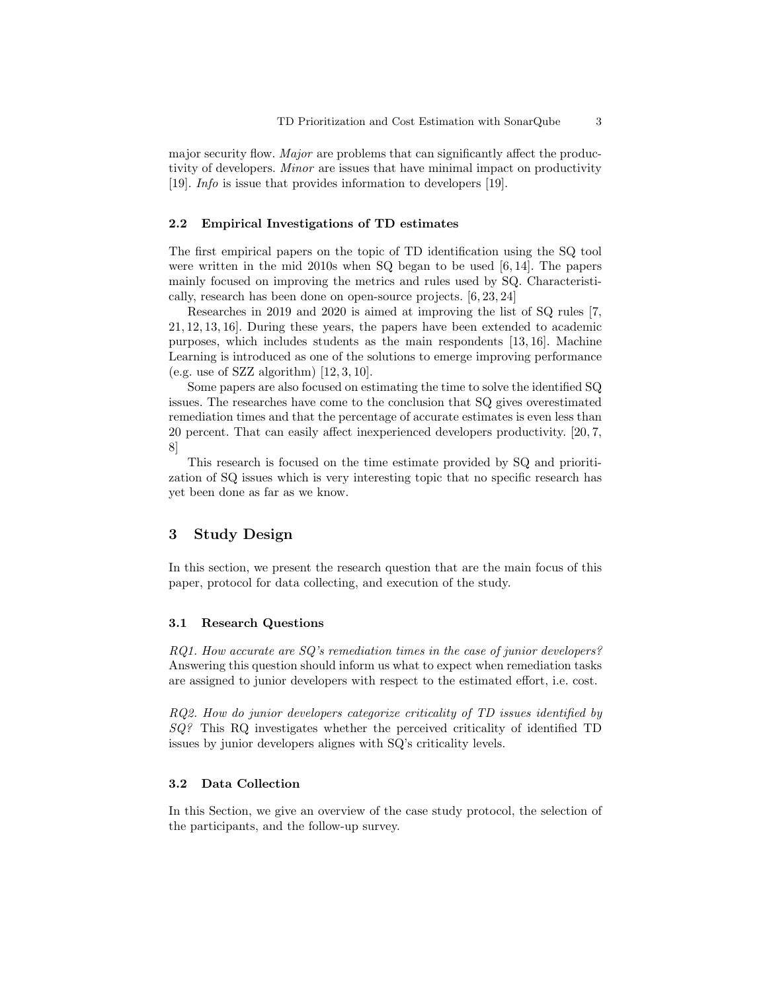major security flow. Major are problems that can significantly affect the productivity of developers. *Minor* are issues that have minimal impact on productivity [19]. Info is issue that provides information to developers [19].

#### 2.2 Empirical Investigations of TD estimates

The first empirical papers on the topic of TD identification using the SQ tool were written in the mid 2010s when SQ began to be used [6, 14]. The papers mainly focused on improving the metrics and rules used by SQ. Characteristically, research has been done on open-source projects. [6, 23, 24]

Researches in 2019 and 2020 is aimed at improving the list of SQ rules [7, 21, 12, 13, 16]. During these years, the papers have been extended to academic purposes, which includes students as the main respondents [13, 16]. Machine Learning is introduced as one of the solutions to emerge improving performance (e.g. use of SZZ algorithm)  $[12, 3, 10]$ .

Some papers are also focused on estimating the time to solve the identified SQ issues. The researches have come to the conclusion that SQ gives overestimated remediation times and that the percentage of accurate estimates is even less than 20 percent. That can easily affect inexperienced developers productivity. [20, 7, 8]

This research is focused on the time estimate provided by SQ and prioritization of SQ issues which is very interesting topic that no specific research has yet been done as far as we know.

## 3 Study Design

In this section, we present the research question that are the main focus of this paper, protocol for data collecting, and execution of the study.

#### 3.1 Research Questions

RQ1. How accurate are SQ's remediation times in the case of junior developers? Answering this question should inform us what to expect when remediation tasks are assigned to junior developers with respect to the estimated effort, i.e. cost.

RQ2. How do junior developers categorize criticality of TD issues identified by SQ? This RQ investigates whether the perceived criticality of identified TD issues by junior developers alignes with SQ's criticality levels.

### 3.2 Data Collection

In this Section, we give an overview of the case study protocol, the selection of the participants, and the follow-up survey.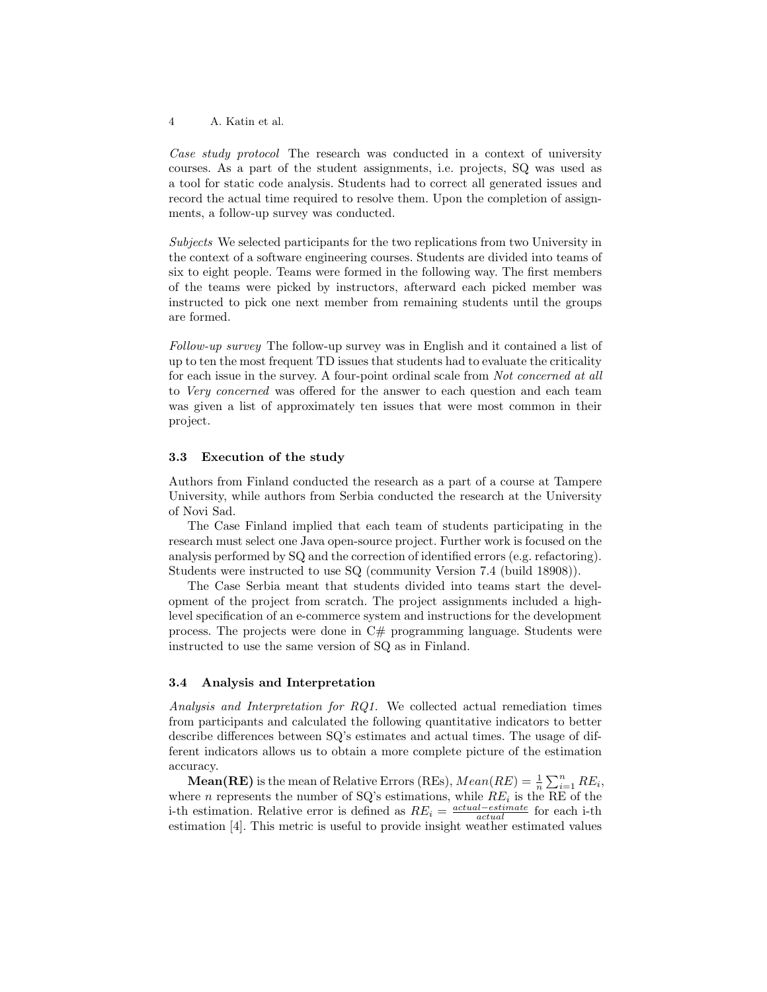4 A. Katin et al.

Case study protocol The research was conducted in a context of university courses. As a part of the student assignments, i.e. projects, SQ was used as a tool for static code analysis. Students had to correct all generated issues and record the actual time required to resolve them. Upon the completion of assignments, a follow-up survey was conducted.

Subjects We selected participants for the two replications from two University in the context of a software engineering courses. Students are divided into teams of six to eight people. Teams were formed in the following way. The first members of the teams were picked by instructors, afterward each picked member was instructed to pick one next member from remaining students until the groups are formed.

Follow-up survey The follow-up survey was in English and it contained a list of up to ten the most frequent TD issues that students had to evaluate the criticality for each issue in the survey. A four-point ordinal scale from Not concerned at all to Very concerned was offered for the answer to each question and each team was given a list of approximately ten issues that were most common in their project.

#### 3.3 Execution of the study

Authors from Finland conducted the research as a part of a course at Tampere University, while authors from Serbia conducted the research at the University of Novi Sad.

The Case Finland implied that each team of students participating in the research must select one Java open-source project. Further work is focused on the analysis performed by SQ and the correction of identified errors (e.g. refactoring). Students were instructed to use SQ (community Version 7.4 (build 18908)).

The Case Serbia meant that students divided into teams start the development of the project from scratch. The project assignments included a highlevel specification of an e-commerce system and instructions for the development process. The projects were done in C# programming language. Students were instructed to use the same version of SQ as in Finland.

#### 3.4 Analysis and Interpretation

Analysis and Interpretation for RQ1. We collected actual remediation times from participants and calculated the following quantitative indicators to better describe differences between SQ's estimates and actual times. The usage of different indicators allows us to obtain a more complete picture of the estimation accuracy.

**Mean(RE)** is the mean of Relative Errors (REs),  $Mean(RE) = \frac{1}{n} \sum_{i=1}^{n} RE_i$ , where *n* represents the number of SQ's estimations, while  $RE_i$  is the RE of the i-th estimation. Relative error is defined as  $RE_i = \frac{actual-estimate}{actual}$  for each i-th estimation [4]. This metric is useful to provide insight weather estimated values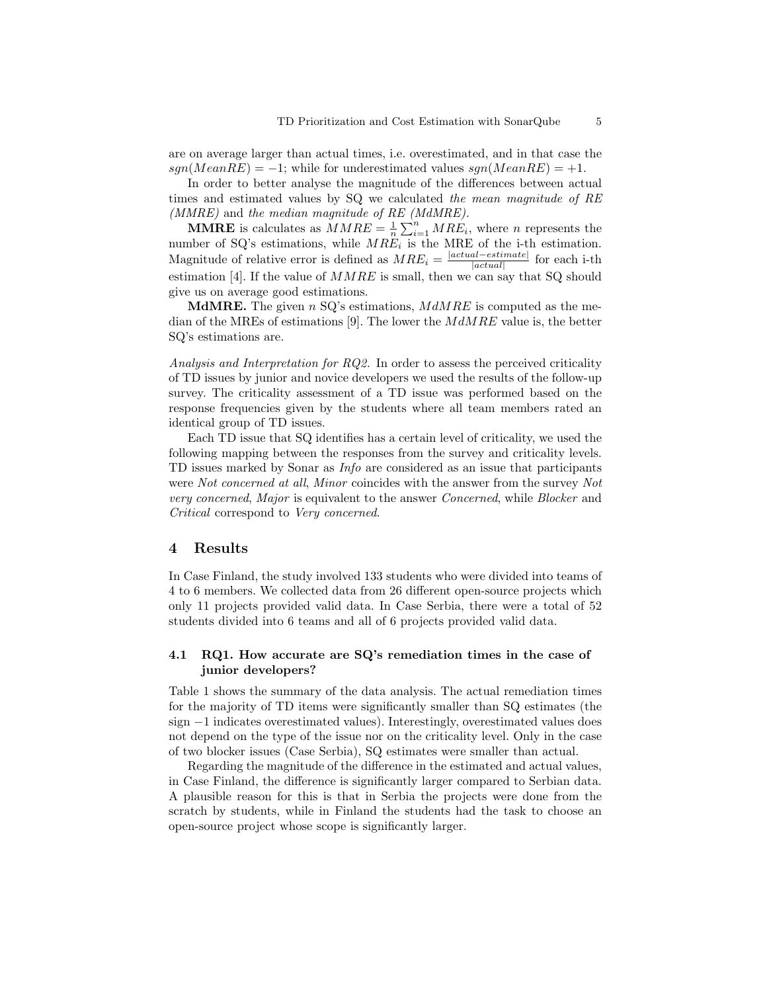are on average larger than actual times, i.e. overestimated, and in that case the  $sgn(MeanRE) = -1$ ; while for underestimated values  $sgn(MeanRE) = +1$ .

In order to better analyse the magnitude of the differences between actual times and estimated values by SQ we calculated the mean magnitude of RE (MMRE) and the median magnitude of RE (MdMRE).

**MMRE** is calculates as  $MMRE = \frac{1}{n} \sum_{i=1}^{n} MRE_i$ , where *n* represents the number of SQ's estimations, while  $MRE_i$  is the MRE of the i-th estimation. Magnitude of relative error is defined as  $MRE_i = \frac{|actual-estimate|}{|actual|}$  for each i-th  $|actual|$ estimation [4]. If the value of  $MMRE$  is small, then we can say that SQ should give us on average good estimations.

**MdMRE.** The given n SQ's estimations,  $MdMRE$  is computed as the median of the MREs of estimations [9]. The lower the  $MdMRE$  value is, the better SQ's estimations are.

Analysis and Interpretation for RQ2. In order to assess the perceived criticality of TD issues by junior and novice developers we used the results of the follow-up survey. The criticality assessment of a TD issue was performed based on the response frequencies given by the students where all team members rated an identical group of TD issues.

Each TD issue that SQ identifies has a certain level of criticality, we used the following mapping between the responses from the survey and criticality levels. TD issues marked by Sonar as Info are considered as an issue that participants were Not concerned at all, Minor coincides with the answer from the survey Not very concerned, Major is equivalent to the answer Concerned, while Blocker and Critical correspond to Very concerned.

#### 4 Results

In Case Finland, the study involved 133 students who were divided into teams of 4 to 6 members. We collected data from 26 different open-source projects which only 11 projects provided valid data. In Case Serbia, there were a total of 52 students divided into 6 teams and all of 6 projects provided valid data.

## 4.1 RQ1. How accurate are SQ's remediation times in the case of junior developers?

Table 1 shows the summary of the data analysis. The actual remediation times for the majority of TD items were significantly smaller than SQ estimates (the sign −1 indicates overestimated values). Interestingly, overestimated values does not depend on the type of the issue nor on the criticality level. Only in the case of two blocker issues (Case Serbia), SQ estimates were smaller than actual.

Regarding the magnitude of the difference in the estimated and actual values, in Case Finland, the difference is significantly larger compared to Serbian data. A plausible reason for this is that in Serbia the projects were done from the scratch by students, while in Finland the students had the task to choose an open-source project whose scope is significantly larger.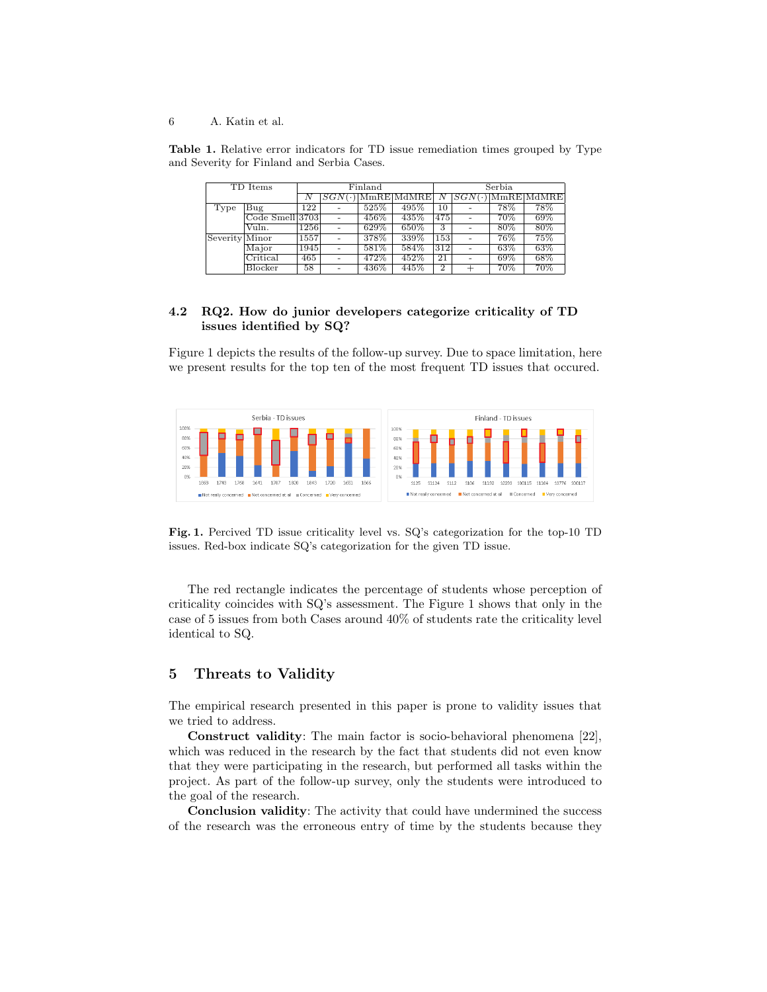6 A. Katin et al.

Table 1. Relative error indicators for TD issue remediation times grouped by Type and Severity for Finland and Serbia Cases.

| TD Items       |                              | Finland |                |      |                              | Serbia         |                          |        |                                         |
|----------------|------------------------------|---------|----------------|------|------------------------------|----------------|--------------------------|--------|-----------------------------------------|
|                |                              | Ν       | $ SGN(\cdot) $ |      | $ \text{MmRE} \text{MdMRE} $ |                | SGN(                     |        | $ \text{MmRE} \overline{\text{MdMRE}} $ |
| Type           | $_{\rm Bug}$                 | 122     |                | 525% | 495%                         | 10             |                          | 78%    | 78%                                     |
|                | Code Smell[3703]             |         |                | 456% | 435%                         | 475            | $\overline{\phantom{a}}$ | $70\%$ | 69%                                     |
|                | Vuln.                        | 1256    |                | 629% | 650%                         | 3              |                          | $80\%$ | $80\%$                                  |
| Severity Minor |                              | 1557    |                | 378% | 339%                         | 153            |                          | 76%    | 75%                                     |
|                | Major                        | 1945    |                | 581% | 584%                         | 312            |                          | 63%    | 63%                                     |
|                | $\overline{\text{Critical}}$ | 465     |                | 472% | 452%                         | 21             |                          | 69%    | 68%                                     |
|                | Blocker                      | 58      |                | 436% | 445%                         | $\overline{2}$ |                          | 70%    | 70%                                     |

## 4.2 RQ2. How do junior developers categorize criticality of TD issues identified by SQ?

Figure 1 depicts the results of the follow-up survey. Due to space limitation, here we present results for the top ten of the most frequent TD issues that occured.



Fig. 1. Percived TD issue criticality level vs. SQ's categorization for the top-10 TD issues. Red-box indicate SQ's categorization for the given TD issue.

The red rectangle indicates the percentage of students whose perception of criticality coincides with SQ's assessment. The Figure 1 shows that only in the case of 5 issues from both Cases around 40% of students rate the criticality level identical to SQ.

# 5 Threats to Validity

The empirical research presented in this paper is prone to validity issues that we tried to address.

Construct validity: The main factor is socio-behavioral phenomena [22], which was reduced in the research by the fact that students did not even know that they were participating in the research, but performed all tasks within the project. As part of the follow-up survey, only the students were introduced to the goal of the research.

Conclusion validity: The activity that could have undermined the success of the research was the erroneous entry of time by the students because they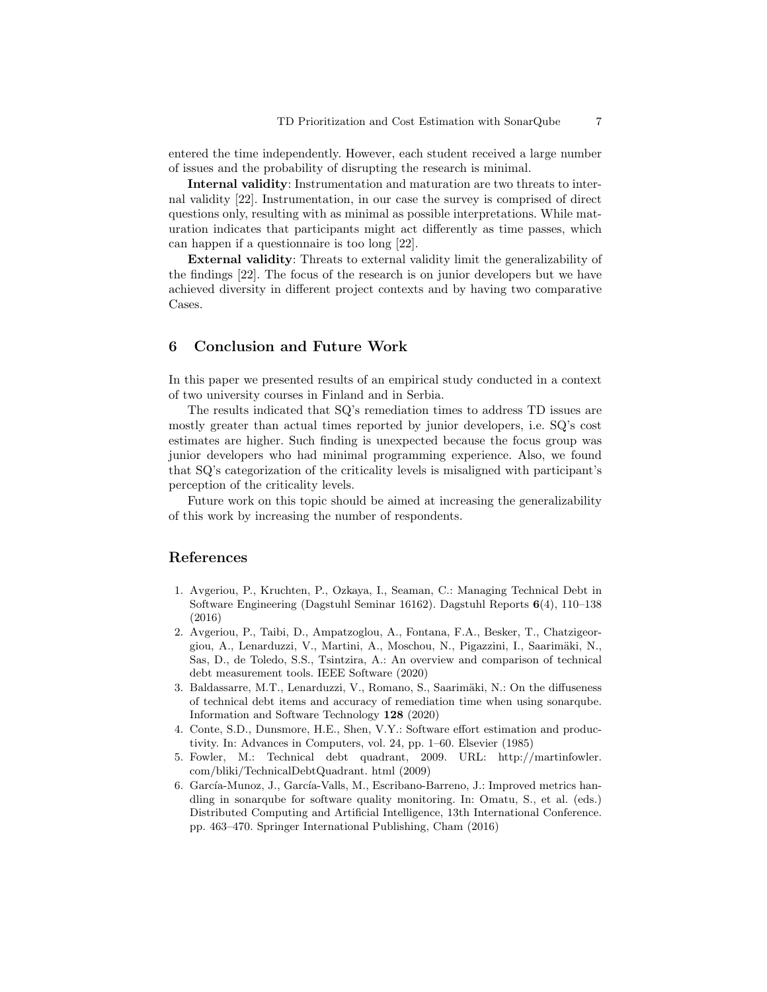entered the time independently. However, each student received a large number of issues and the probability of disrupting the research is minimal.

Internal validity: Instrumentation and maturation are two threats to internal validity [22]. Instrumentation, in our case the survey is comprised of direct questions only, resulting with as minimal as possible interpretations. While maturation indicates that participants might act differently as time passes, which can happen if a questionnaire is too long [22].

External validity: Threats to external validity limit the generalizability of the findings [22]. The focus of the research is on junior developers but we have achieved diversity in different project contexts and by having two comparative Cases.

# 6 Conclusion and Future Work

In this paper we presented results of an empirical study conducted in a context of two university courses in Finland and in Serbia.

The results indicated that SQ's remediation times to address TD issues are mostly greater than actual times reported by junior developers, i.e. SQ's cost estimates are higher. Such finding is unexpected because the focus group was junior developers who had minimal programming experience. Also, we found that SQ's categorization of the criticality levels is misaligned with participant's perception of the criticality levels.

Future work on this topic should be aimed at increasing the generalizability of this work by increasing the number of respondents.

# References

- 1. Avgeriou, P., Kruchten, P., Ozkaya, I., Seaman, C.: Managing Technical Debt in Software Engineering (Dagstuhl Seminar 16162). Dagstuhl Reports 6(4), 110–138 (2016)
- 2. Avgeriou, P., Taibi, D., Ampatzoglou, A., Fontana, F.A., Besker, T., Chatzigeorgiou, A., Lenarduzzi, V., Martini, A., Moschou, N., Pigazzini, I., Saarimäki, N., Sas, D., de Toledo, S.S., Tsintzira, A.: An overview and comparison of technical debt measurement tools. IEEE Software (2020)
- 3. Baldassarre, M.T., Lenarduzzi, V., Romano, S., Saarimäki, N.: On the diffuseness of technical debt items and accuracy of remediation time when using sonarqube. Information and Software Technology 128 (2020)
- 4. Conte, S.D., Dunsmore, H.E., Shen, V.Y.: Software effort estimation and productivity. In: Advances in Computers, vol. 24, pp. 1–60. Elsevier (1985)
- 5. Fowler, M.: Technical debt quadrant, 2009. URL: http://martinfowler. com/bliki/TechnicalDebtQuadrant. html (2009)
- 6. García-Munoz, J., García-Valls, M., Escribano-Barreno, J.: Improved metrics handling in sonarqube for software quality monitoring. In: Omatu, S., et al. (eds.) Distributed Computing and Artificial Intelligence, 13th International Conference. pp. 463–470. Springer International Publishing, Cham (2016)